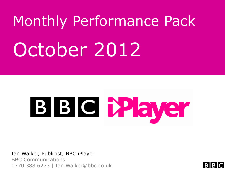# Monthly Performance Pack October 2012



Ian Walker, Publicist, BBC iPlayer BBC Communications 0770 388 6273 | Ian.Walker@bbc.co.uk

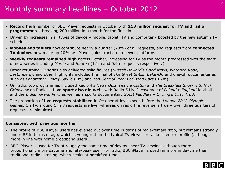# Monthly summary headlines – October 2012

- **Record high** number of BBC iPlayer requests in October with **213 million request for TV and radio programmes –** breaking 200 million in a month for the first time
- Driven by increases in all types of device mobile, tablet, TV and computer boosted by the new autumn TV schedule
- **Mobiles and tablets** now contribute nearly a quarter (23%) of all requests, and requests from **connected TV devices** now make up 20%, as iPlayer gains traction on newer platforms
- **Weekly requests remained high** across October, increasing for TV as the month progressed with the start of new series including *Merlin* and *Hunted* (1.1m and 0.9m requests respectively)
- Other returning TV series also delivered solid figures (*Russell Howard's Good News, Waterloo Road, EastEnders*), and other highlights included the final of *The Great British Bake-Off* and one-off documentaries such as *Panorama: Jimmy Savile* (1m) and *Top Gear 50 Years of Bond Cars* (0.7m)
- On radio, top programmes included Radio 4's *News Quiz*, *Fearne Cotton* and *The Breakfast Show with Nick Grimshaw* on Radio 1. **Live sport also did well**, with Radio 5 Live's coverage of *Poland v England* football and the *Indian Grand Prix*, as well as a sports documentary *Sport Peddlers – Cycling's Dirty Truth*.
- The proportion of **live requests stabilised** in October at levels seen before the *London 2012 Olympic Games.* On TV, around 1 in 8 requests are live, whereas on radio the reverse is true – over three quarters of requests are simulcast

#### **Consistent with previous months:**

- The profile of BBC iPlayer users has evened out over time in terms of male/female ratio, but remains strongly under-55 in terms of age, which is younger than the typical TV viewer or radio listener's profile (although more in line with home broadband users).
- BBC iPlayer is used for TV at roughly the same time of day as linear TV viewing, although there is proportionally more daytime and late-peak use. For radio, BBC iPlayer is used far more in daytime than traditional radio listening, which peaks at breakfast-time.

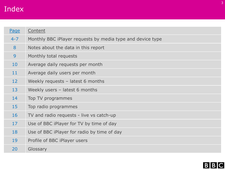# Index

| Monthly BBC iPlayer requests by media type and device type<br>$4 - 7$<br>8<br>Notes about the data in this report<br>9<br>Monthly total requests<br>10<br>Average daily requests per month<br>11<br>Average daily users per month<br>12 <sup>2</sup><br>Weekly requests $-$ latest 6 months<br>13<br>Weekly users $-$ latest 6 months<br>14<br>Top TV programmes<br>15<br>Top radio programmes<br>16<br>TV and radio requests - live vs catch-up<br>17<br>Use of BBC iPlayer for TV by time of day<br>18<br>Use of BBC iPlayer for radio by time of day<br>19<br>Profile of BBC iPlayer users<br>20<br>Glossary | Page | Content |
|-----------------------------------------------------------------------------------------------------------------------------------------------------------------------------------------------------------------------------------------------------------------------------------------------------------------------------------------------------------------------------------------------------------------------------------------------------------------------------------------------------------------------------------------------------------------------------------------------------------------|------|---------|
|                                                                                                                                                                                                                                                                                                                                                                                                                                                                                                                                                                                                                 |      |         |
|                                                                                                                                                                                                                                                                                                                                                                                                                                                                                                                                                                                                                 |      |         |
|                                                                                                                                                                                                                                                                                                                                                                                                                                                                                                                                                                                                                 |      |         |
|                                                                                                                                                                                                                                                                                                                                                                                                                                                                                                                                                                                                                 |      |         |
|                                                                                                                                                                                                                                                                                                                                                                                                                                                                                                                                                                                                                 |      |         |
|                                                                                                                                                                                                                                                                                                                                                                                                                                                                                                                                                                                                                 |      |         |
|                                                                                                                                                                                                                                                                                                                                                                                                                                                                                                                                                                                                                 |      |         |
|                                                                                                                                                                                                                                                                                                                                                                                                                                                                                                                                                                                                                 |      |         |
|                                                                                                                                                                                                                                                                                                                                                                                                                                                                                                                                                                                                                 |      |         |
|                                                                                                                                                                                                                                                                                                                                                                                                                                                                                                                                                                                                                 |      |         |
|                                                                                                                                                                                                                                                                                                                                                                                                                                                                                                                                                                                                                 |      |         |
|                                                                                                                                                                                                                                                                                                                                                                                                                                                                                                                                                                                                                 |      |         |
|                                                                                                                                                                                                                                                                                                                                                                                                                                                                                                                                                                                                                 |      |         |
|                                                                                                                                                                                                                                                                                                                                                                                                                                                                                                                                                                                                                 |      |         |

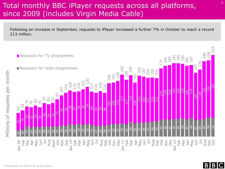### Total monthly BBC iPlayer requests across all platforms, since 2009 (includes Virgin Media Cable)

Following an increase in September, requests to iPlayer increased a further 7% in October to reach a record 213 million.



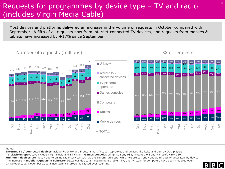### Requests for programmes by device type – TV and radio (includes Virgin Media Cable)

Most devices and platforms delivered an increase in the volume of requests in October compared with September. A fifth of all requests now from internet-connected TV devices, and requests from mobiles & tablets have increased by +17% since September.

#### Number of requests (millions) Mumber of requests (millions)



#### Notes:

**Internet TV / connected devices** include Freeview and Freesat smart TVs, set-top-boxes and devices like Roku and blu-ray DVD players. **TV platform operators** include Virgin Media and BT Vision. **Games consoles** comprise Sony PS3, Nintendo Wii and Microsoft XBox 360. **Unknown devices** are mostly due to online radio services such as the TuneIn radio app, which we are currently unable to classify accurately by device. The increase in **mobile requests in February 2012** was due to a measurement problem fix, and TV stats for computers have been modelled over 24 October to 27 November 2011, since technical problems caused over-counting.

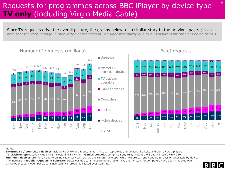### Requests for programmes across BBC iPlayer by device type -**TV only** (including Virgin Media Cable)

Since TV requests drive the overall picture, the graphs below tell a similar story to the previous page. *(Please note that the step-change in mobile/tablet requests in February was partly due to a measurement problem being fixed.)*



#### Notes:

**Internet TV / connected devices** include Freeview and Freesat smart TVs, set-top-boxes and devices like Roku and blu-ray DVD players. **TV platform operators** include Virgin Media and BT Vision. **Games consoles** comprise Sony PS3, Nintendo Wii and Microsoft XBox 360. **Unknown devices** are mostly due to online radio services such as the TuneIn radio app, which we are currently unable to classify accurately by device. The increase in **mobile requests in February 2012** was due to a measurement problem fix, and TV stats for computers have been modelled over 24 October to 27 November 2011, since technical problems caused over-counting.

6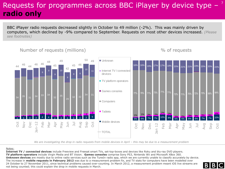# Requests for programmes across BBC iPlayer by device type **radio only**

BBC iPlayer radio requests decreased slightly in October to 49 million (-2%). This was mainly driven by computers, which declined by -9% compared to September. Requests on most other devices increased. *(Please see footnotes)*

#### Number of requests (millions)  $\frac{9}{6}$  of requests  $\frac{48}{48}$   $\frac{49}{49}$   $\frac{50}{49}$   $\frac{49}{49}$   $\frac{50}{49}$   $\frac{49}{49}$   $\frac{50}{49}$   $\frac{49}{49}$   $\frac{50}{49}$   $\frac{49}{49}$   $\frac{50}{49}$   $\frac{49}{49}$   $\frac{50}{49}$   $\frac{49}{49}$  2 3 3 3 4 4 2 3 3 3 3 3 3  $\frac{1}{2}$   $\frac{1}{3}$   $\frac{1}{3}$   $\frac{1}{4}$   $\frac{1}{2}$   $\frac{1}{3}$   $\frac{1}{3}$   $\frac{1}{3}$   $\frac{1}{3}$   $\frac{1}{3}$   $\frac{1}{3}$   $\frac{1}{5}$ ا**ن کال** 1  $1 - 1$ 1 -  $1 1 1 1 1 1 2$ 2  $34$   $35$   $31$   $34$   $33$   $34$ 32 29  $32$   $32$  $\begin{array}{|c|c|c|}\n\hline\n34 & 31\n\end{array}$ 8 9 9 10 9 8 9  $\begin{array}{|c|c|}\n\hline\n11\n\end{array}$  $44 \begin{array}{|l} 46 \end{array}$   $44 \begin{array}{|l} 46 \end{array}$   $46 \begin{array}{|l} 46 \end{array}$ 48  $\frac{45}{1}$ 42  $45 \frac{46}{ }$ )<br><sup>50</sup> 49 Oct Nov Dec  $n - 12$ Feb Mar Apr May Jun Jul Aug Sep Oct ■ Unknown Internet TV / connected devices **TV** platform operators Games consoles Computers **Tablets** ■ Mobile devices TOTAL 5% 6% 7% 7% 9% 5% 5% 6% 6% 7% 10% 77% 76% 71% 73% 71% 71% 72% 71% 70% 72% 70% 69% 64% 16% 16% 19% 17% 17% 18% 20% 21% 21% 19% 20% 20% 22%  $10\%$  9%  $\frac{2\%}{5\%}$  5% 6% 6% 7% 7%  $1\%$  1%  $2\%$  2%  $2%$ 2% 2% 3% 3% 3% 3% 4% Oct Nov Dec Jan 12 Feb Mar Apr May Jun Jul Aug Sep Oct

*We are investigating the drop in radio requests from mobile devices in April – this may be due to a measurement problem* 

#### Notes:

**Internet TV / connected devices** include Freeview and Freesat smart TVs, set-top-boxes and devices like Roku and blu-ray DVD players. **TV platform operators** include Virgin Media and BT Vision. **Games consoles** comprise Sony PS3, Nintendo Wii and Microsoft XBox 360. **Unknown devices** are mostly due to online radio services such as the TuneIn radio app, which we are currently unable to classify accurately by device. The increase in **mobile requests in February 2012** was due to a measurement problem fix, and TV stats for computers have been modelled over 24 October to 27 November 2011, since technical problems caused over-counting. In March 2012, a measurement problem meant iOS live streams are not being counted; this could explain the drop in mobile requests in March.



7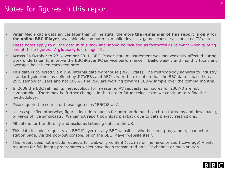# Notes for figures in this report

• Virgin Media cable data arrives later than online stats, therefore **the remainder of this report is only for the online BBC iPlayer**, available via computers / mobile devices / games consoles, connected TVs, etc.

These notes apply to all the data in this pack and should be included as footnotes as relevant when quoting any of these figures. A **glossary** is on page 19.

- Across 24 October to 27 November 2011, BBC iPlayer stats measurement was inadvertently affected during work undertaken to improve the BBC iPlayer PC service performance. Daily, weekly and monthly totals and averages have been corrected here.
- This data is collected via a BBC internal data warehouse (BBC iStats). The methodology adheres to industry standard guidelines as defined by JICWEBs and ABCe, with the exception that the BBC data is based on a 25% sample of users and not 100%. The BBC are working towards 100% sample over the coming months.
- In 2009 the BBC refined its methodology for measuring AV requests, so figures for 2007/8 are not comparable. There may be further changes in the data in future releases as we continue to refine the methodology.
- Please quote the source of these figures as "BBC iStats".
- Unless specified otherwise, figures include requests for both on-demand catch-up (streams and downloads), or views of live simulcasts. We cannot report download playback due to data privacy restrictions.
- All data is for the UK only and excludes listening outside the UK.
- This data includes requests via BBC iPlayer on any BBC website whether on a programme, channel or station page, via the pop-out console, or on the BBC iPlayer website itself.
- This report does not include requests for web-only content (such as online news or sport coverage) only requests for full-length programmes which have been transmitted on a TV channel or radio station.

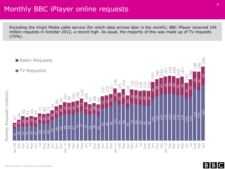### Monthly BBC iPlayer online requests

Excluding the Virgin Media cable service (for which data arrives later in the month), BBC iPlayer received 194 million requests in October 2012, a record high. As usual, the majority of this was made up of TV requests  $(75%)$ .



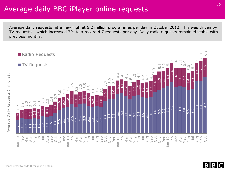#### Average daily BBC iPlayer online requests

Average daily requests hit a new high at 6.2 million programmes per day in October 2012. This was driven by TV requests – which increased 7% to a record 4.7 requests per day. Daily radio requests remained stable with previous months.





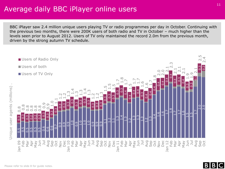#### Average daily BBC iPlayer online users

BBC iPlayer saw 2.4 million unique users playing TV or radio programmes per day in October. Continuing with the previous two months, there were 200K users of both radio and TV in October – much higher than the levels seen prior to August 2012. Users of TV only maintained the record 2.0m from the previous month, driven by the strong autumn TV schedule.



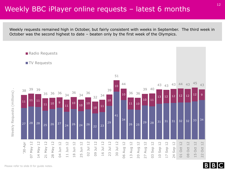#### Weekly BBC iPlayer online requests – latest 6 months

Weekly requests remained high in October, but fairly consistent with weeks in September. The third week in October was the second highest to date – beaten only by the first week of the Olympics.



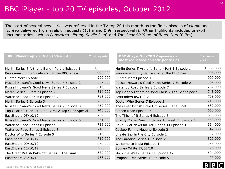### BBC iPlayer - top 20 TV episodes, October 2012

The start of several new series was reflected in the TV top 20 this month as the first episodes of *Merlin* and *Hunted* delivered high levels of requests (1.1m and 0.9m respectively). Other highlights included one-off documentaries such as *Panorama: Jimmy Savile* (1m) and *Top Gear 50 Years of Bond Cars* (0.7m).

| <b>BBC iPlayer Top 20 TV episodes - All</b>        | Total requests<br>per Ep. | <b>BBC iPlayer Top 20 TV episodes -</b><br>most requested episode per series | <b>Total requests</b><br>per Ep. |
|----------------------------------------------------|---------------------------|------------------------------------------------------------------------------|----------------------------------|
| Merlin Series 5 Arthur's Bane - Part 1 Episode 1   | 1,063,000                 | Merlin Series 5 Arthur's Bane - Part 1 Episode 1                             | 1,063,000                        |
| Panorama Jimmy Savile - What the BBC Knew          | 998,000                   | Panorama Jimmy Savile - What the BBC Knew                                    | 998,000                          |
| Hunted Mort Episode 1                              | 900,000                   | Hunted Mort Episode 1                                                        | 900,000                          |
| Russell Howard's Good News Series 7 Episode 2      | 862,000                   | Russell Howard's Good News Series 7 Episode 2                                | 862,000                          |
| Russell Howard's Good News Series 7 Episode 4      | 816,000                   | Waterloo Road Series 8 Episode 7                                             | 782,000                          |
| Merlin Series 5 Part 2 Episode 2                   | 814,000                   | Top Gear 50 Years of Bond Cars: A Top Gear Special                           | 743,000                          |
| Waterloo Road Series 8 Episode 7                   | 782,000                   | EastEnders 05/10/12                                                          | 739,000                          |
| Merlin Series 5 Episode 3                          | 753,000                   | Doctor Who Series 7 Episode 5                                                | 716,000                          |
| Russell Howard's Good News Series 7 Episode 3      | 752,000                   | The Great British Bake Off Series 3 The Final                                | 682,000                          |
| Top Gear 50 Years of Bond Cars: A Top Gear Special | 743,000                   | Citizen Khan Episode 6                                                       | 660,000                          |
| EastEnders 05/10/12                                | 739,000                   | The Thick of It Series 4 Episode 6                                           | 630,000                          |
| Russell Howard's Good News Series 7 Episode 5      | 731,000                   | Strictly Come Dancing Series 10 Week 3 Episode 6                             | 583,000                          |
| Waterloo Road Series 8 Episode 9                   | 729,000                   | Have I Got News for You Series 44 Episode 1                                  | 554,000                          |
| Waterloo Road Series 8 Episode 8                   | 718,000                   | Cuckoo Family Meeting Episode 2                                              | 547,000                          |
| Doctor Who Series 7 Episode 5                      | 716,000                   | Unsafe Sex in the City Episode 1                                             | 532,000                          |
| EastEnders 16/10/12                                | 710,000                   | The Paradise Series 1 Episode 2                                              | 529,000                          |
| EastEnders 09/10/12                                | 696,000                   | Welcome to India Episode 1                                                   | 527,000                          |
| EastEnders 12/10/12                                | 688,000                   | Sydney White 17/02/10                                                        | 526,000                          |
| The Great British Bake Off Series 3 The Final      | 682,000                   | Mock the Week Series 11 Episode 12                                           | 504,000                          |
| EastEnders 23/10/12                                | 677,000                   | Dragons' Den Series 10 Episode 5                                             | 477,000                          |

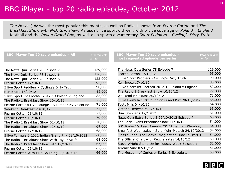### BBC iPlayer - top 20 radio episodes, October 2012

*The News Quiz* was the most popular this month, as well as Radio 1 shows from *Fearne Cotton* and *The Breakfast Show with Nick Grimshaw.* As usual, live sport did well, with 5 Live coverage of *Poland v England*  football and the *Indian Grand Prix*, as well as a sports documentary *Sport Peddlers – Cycling's Dirty Truth*.

| <b>BBC iPlayer Top 20 radio episodes - All</b>        | <b>Total requests</b><br>per Ep. | <b>BBC iPlayer Top 20 radio episodes -</b><br>most requested episode per series | <b>Total requests</b><br>per Ep. |
|-------------------------------------------------------|----------------------------------|---------------------------------------------------------------------------------|----------------------------------|
|                                                       |                                  |                                                                                 |                                  |
| The News Quiz Series 78 Episode 7                     | 129,000                          | The News Quiz Series 78 Episode 7                                               | 129,000                          |
| The News Quiz Series 78 Episode 6                     | 126,000                          | Fearne Cotton 17/10/12                                                          | 95,000                           |
| The News Quiz Series 78 Episode 5                     | 122,000                          | 5 live Sport Peddlers - Cycling's Dirty Truth                                   | 90,000                           |
| Fearne Cotton 17/10/12                                | 95,000                           | Ken Bruce 17/10/12                                                              | 85,000                           |
| 5 live Sport Peddlers - Cycling's Dirty Truth         | 90,000                           | 5 live Sport Int Football 2012-13 Poland v England                              | 82,000                           |
| Ken Bruce 17/10/12                                    | 85,000                           | The Radio 1 Breakfast Show 10/10/12                                             | 77,000                           |
| 5 live Sport Int Football 2012-13 Poland v England    | 82,000                           | Weekend Breakfast 20/10/12                                                      | 71,000                           |
| The Radio 1 Breakfast Show 10/10/12                   | 77,000                           | 5 live Formula 1 2012 Indian Grand Prix 28/10/2012                              | 68,000                           |
| Fearne Cotton's Live Lounge - Bullet For My Valentine | 71,000                           | Scott Mills 04/10/12                                                            | 64,000                           |
| Weekend Breakfast 20/10/12                            | 71,000                           | Victoria Derbyshire 17/10/12                                                    | 63,000                           |
| Fearne Cotton 03/10/12                                | 71,000                           | Huw Stephens 17/10/12                                                           | 61,000                           |
| Fearne Cotton 19/10/12                                | 70,000                           | News Quiz Extra Series 5 22/10/2012 Episode 7                                   | 60,000                           |
| The Radio 1 Breakfast Show 02/10/12                   | 70,000                           | The Chris Evans Breakfast Show 11/10/12                                         | 54,000                           |
| The Radio 1 Breakfast Show 12/10/12                   | 69,000                           | BBC Radio 1's Teen Awards 2012 Live from Wembley                                | 54,000                           |
| Fearne Cotton 12/10/12                                | 68,000                           | Breakfast Wednesday - Sara Mohr-Pietsch 24/10/2012                              | 54,000                           |
| 5 live Formula 1 2012 Indian Grand Prix 28/10/2012    | 68,000                           | Classic Serial The Gothic Imagination Dracula: Part 1                           | 54,000                           |
| The Radio 1 Breakfast Show With Taylor Swift          | 68,000                           | The Official Chart with Reggie Yates 14/10/12                                   | 53,000                           |
| The Radio 1 Breakfast Show with 19/10/12              | 67,000                           | Steve Wright Stand Up for Pudsey Week Episode 1                                 | 52,000                           |
| Fearne Cotton 05/10/12                                | 67,000                           | Jeremy Vine 02/10/12                                                            | 51,000                           |
| Fearne Cotton With Ellie Goulding 02/10/2012          | 66,000                           | The Museum of Curiosity Series 5 Episode 1                                      | 50,000                           |
|                                                       |                                  |                                                                                 |                                  |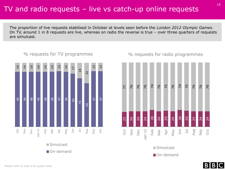#### TV and radio requests – live vs catch-up online requests

The proportion of live requests stabilised in October at levels seen before the *London 2012 Olympic Games*. On TV, around 1 in 8 requests are live, whereas on radio the reverse is true – over three quarters of requests are simulcast.



#### % requests for TV programmes  $\%$  requests for radio programmes



**Simulcast** 

On-demand

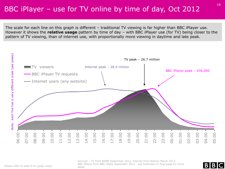### BBC iPlayer – use for TV online by time of day, Oct 2012

The scale for each line on this graph is different – traditional TV viewing is far higher than BBC iPlayer use. However it shows the **relative usage** pattern by time of day – with BBC iPlayer use (for TV) being closer to the pattern of TV viewing, than of internet use, with proportionally more viewing in daytime and late peak.



Sources – TV from BARB September 2012, internet from Nielsen March 2012, BBC iPlayer from BBC iStats September 2012 - see footnotes on final page for more detail



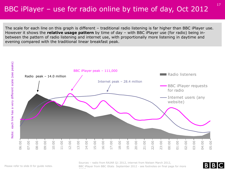# BBC iPlayer – use for radio online by time of day, Oct 2012

The scale for each line on this graph is different – traditional radio listening is far higher than BBC iPlayer use. However it shows the **relative usage pattern** by time of day – with BBC iPlayer use (for radio) being inbetween the pattern of radio listening and internet use, with proportionally more listening in daytime and evening compared with the traditional linear breakfast peak.



Sources – radio from RAJAR Q1 2012, internet from Nielsen March 2012, BBC iPlayer from BBC iStats September 2012 - see footnotes on final page for more detail



17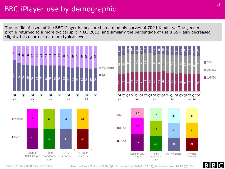### BBC iPlayer use by demographic

The profile of users of the BBC iPlayer is measured on a monthly survey of 700 UK adults. The gender profile returned to a more typical split in Q3 2012, and similarly the percentage of users 55+ also decreased slightly this quarter to a more typical level.